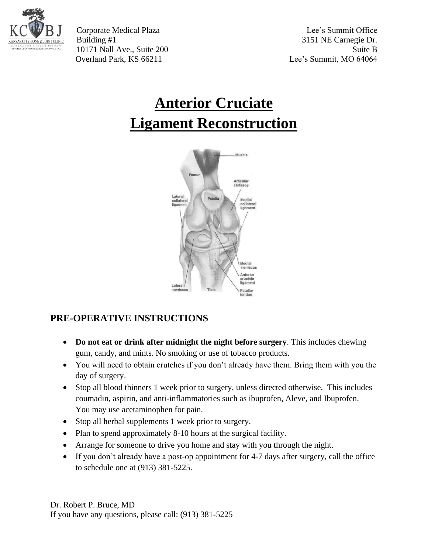

Corporate Medical Plaza Lee's Summit Office Building #1 3151 NE Carnegie Dr. 10171 Nall Ave., Suite 200 Suite B Overland Park, KS 66211 Lee's Summit, MO 64064

# **Anterior Cruciate Ligament Reconstruction**



# **PRE-OPERATIVE INSTRUCTIONS**

- **Do not eat or drink after midnight the night before surgery**. This includes chewing gum, candy, and mints. No smoking or use of tobacco products.
- You will need to obtain crutches if you don't already have them. Bring them with you the day of surgery.
- Stop all blood thinners 1 week prior to surgery, unless directed otherwise. This includes coumadin, aspirin, and anti-inflammatories such as ibuprofen, Aleve, and Ibuprofen. You may use acetaminophen for pain.
- Stop all herbal supplements 1 week prior to surgery.
- Plan to spend approximately 8-10 hours at the surgical facility.
- Arrange for someone to drive you home and stay with you through the night.
- If you don't already have a post-op appointment for 4-7 days after surgery, call the office to schedule one at (913) 381-5225.

Dr. Robert P. Bruce, MD If you have any questions, please call: (913) 381-5225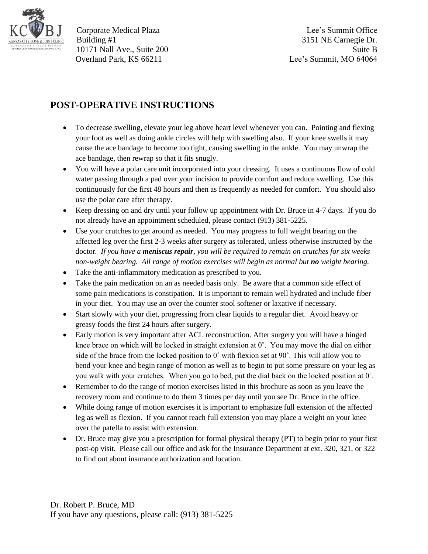

Corporate Medical Plaza Lee's Summit Office Building #1 3151 NE Carnegie Dr. 10171 Nall Ave., Suite 200 Suite B Overland Park, KS 66211 Lee's Summit, MO 64064

## **POST-OPERATIVE INSTRUCTIONS**

- To decrease swelling, elevate your leg above heart level whenever you can. Pointing and flexing your foot as well as doing ankle circles will help with swelling also. If your knee swells it may cause the ace bandage to become too tight, causing swelling in the ankle. You may unwrap the ace bandage, then rewrap so that it fits snugly.
- You will have a polar care unit incorporated into your dressing. It uses a continuous flow of cold water passing through a pad over your incision to provide comfort and reduce swelling. Use this continuously for the first 48 hours and then as frequently as needed for comfort. You should also use the polar care after therapy.
- Keep dressing on and dry until your follow up appointment with Dr. Bruce in 4-7 days. If you do not already have an appointment scheduled, please contact (913) 381-5225.
- Use your crutches to get around as needed. You may progress to full weight bearing on the affected leg over the first 2-3 weeks after surgery as tolerated, unless otherwise instructed by the doctor*. If you have a meniscus repair, you will be required to remain on crutches for six weeks non-weight bearing. All range of motion exercises will begin as normal but no weight bearing.*
- Take the anti-inflammatory medication as prescribed to you.
- Take the pain medication on an as needed basis only. Be aware that a common side effect of some pain medications is constipation. It is important to remain well hydrated and include fiber in your diet. You may use an over the counter stool softener or laxative if necessary.
- Start slowly with your diet, progressing from clear liquids to a regular diet. Avoid heavy or greasy foods the first 24 hours after surgery.
- Early motion is very important after ACL reconstruction. After surgery you will have a hinged knee brace on which will be locked in straight extension at  $0^\circ$ . You may move the dial on either side of the brace from the locked position to 0˚ with flexion set at 90˚. This will allow you to bend your knee and begin range of motion as well as to begin to put some pressure on your leg as you walk with your crutches. When you go to bed, put the dial back on the locked position at 0˚.
- Remember to do the range of motion exercises listed in this brochure as soon as you leave the recovery room and continue to do them 3 times per day until you see Dr. Bruce in the office.
- While doing range of motion exercises it is important to emphasize full extension of the affected leg as well as flexion. If you cannot reach full extension you may place a weight on your knee over the patella to assist with extension.
- Dr. Bruce may give you a prescription for formal physical therapy (PT) to begin prior to your first post-op visit. Please call our office and ask for the Insurance Department at ext. 320, 321, or 322 to find out about insurance authorization and location.